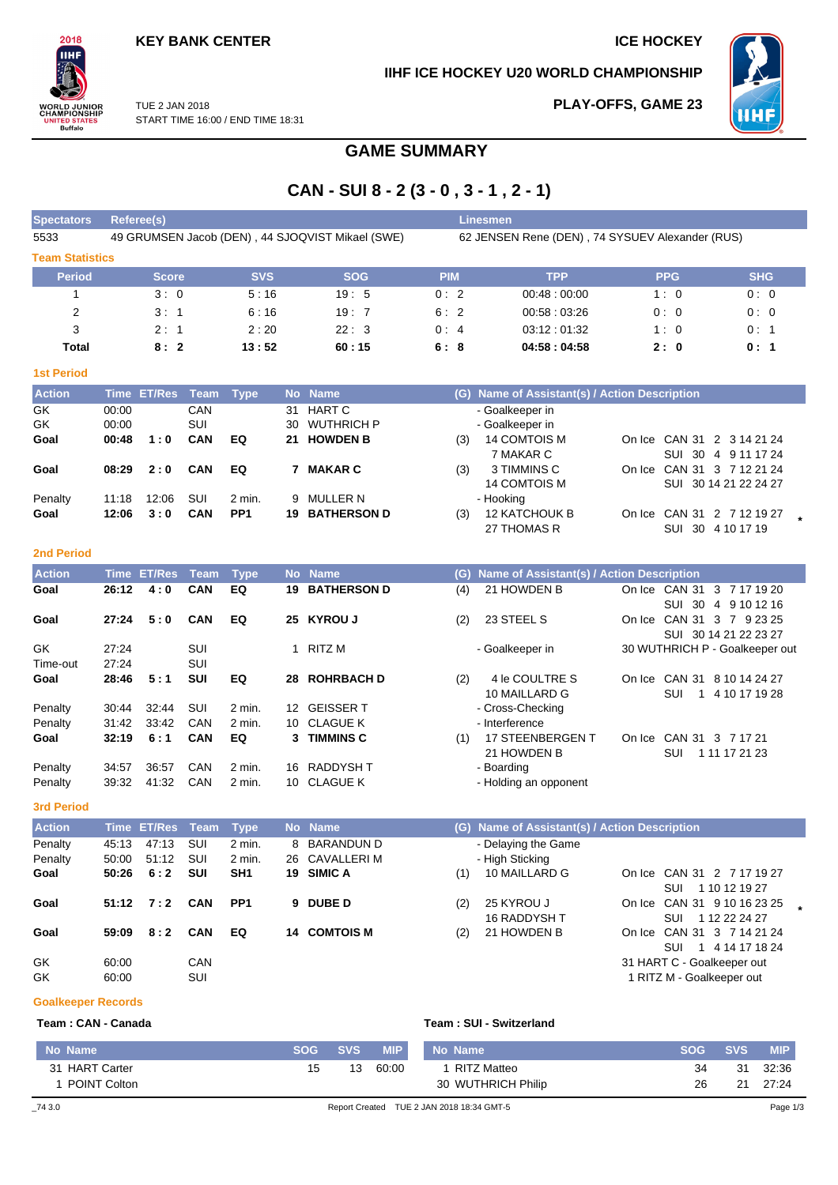## **KEY BANK CENTER ICE HOCKEY**

## **IIHF ICE HOCKEY U20 WORLD CHAMPIONSHIP**

**PLAY-OFFS, GAME 23**



TUE 2 JAN 2018 START TIME 16:00 / END TIME 18:31

# **GAME SUMMARY**

# **CAN - SUI 8 - 2 (3 - 0 , 3 - 1 , 2 - 1)**

| <b>Spectators</b>      | Referee(s)                                       |                   |             | <b>Linesmen</b> |                                                 |            |            |
|------------------------|--------------------------------------------------|-------------------|-------------|-----------------|-------------------------------------------------|------------|------------|
| 5533                   | 49 GRUMSEN Jacob (DEN), 44 SJOQVIST Mikael (SWE) |                   |             |                 | 62 JENSEN Rene (DEN), 74 SYSUEV Alexander (RUS) |            |            |
| <b>Team Statistics</b> |                                                  |                   |             |                 |                                                 |            |            |
| <b>Period</b>          | <b>Score</b>                                     | <b>SVS</b>        | <b>SOG</b>  | <b>PIM</b>      | <b>TPP</b>                                      | <b>PPG</b> | <b>SHG</b> |
|                        | 3:0                                              | 5:16              | 19:5        | 0:2             | 00:48:00:00                                     | 1:0        | 0:0        |
| 2                      | 3:1                                              | 6:16              | 19:7        | 6:2             | 00:58:03:26                                     | 0:0        | 0:0        |
| 3                      | 2:1                                              | 2:20              | 22:3        | 0:4             | 03:12:01:32                                     | 1:0        | 0:1        |
| Total                  | 8:2                                              | 13:52             | 60:15       | 6:8             | 04:58:04:58                                     | 2:0        | 0:1        |
| <b>1st Period</b>      |                                                  |                   |             |                 |                                                 |            |            |
| <b>Action</b>          | Time ET/Res<br><b>Team</b>                       | <b>No</b><br>Tvpe | <b>Name</b> | (G)             | Name of Assistant(s) / Action Description       |            |            |

| <b>Action</b> |       | lime El/Res Team Type |            |                 | No Name               |     | (G) Name of Assistant(s) / Action Description |                            |
|---------------|-------|-----------------------|------------|-----------------|-----------------------|-----|-----------------------------------------------|----------------------------|
| <b>GK</b>     | 00:00 |                       | <b>CAN</b> |                 | 31 HART C             |     | - Goalkeeper in                               |                            |
| GK            | 00:00 |                       | SUI        |                 | 30 WUTHRICH P         |     | - Goalkeeper in                               |                            |
| Goal          | 00:48 | 1:0                   | <b>CAN</b> | EQ              | 21 HOWDEN B           | (3) | 14 COMTOIS M                                  | On Ice CAN 31 2 3 14 21 24 |
|               |       |                       |            |                 |                       |     | 7 MAKAR C                                     | SUI 30 4 9 11 17 24        |
| Goal          | 08:29 | 2:0                   | CAN        | EQ              | <b>MAKAR C</b>        | (3) | 3 TIMMINS C                                   | On Ice CAN 31 3 7 12 21 24 |
|               |       |                       |            |                 |                       |     | 14 COMTOIS M                                  | SUI 30 14 21 22 24 27      |
| Penalty       | 11:18 | 12:06                 | SUI        | 2 min.          | 9 MULLER N            |     | - Hooking                                     |                            |
| Goal          | 12:06 | 3:0                   | <b>CAN</b> | PP <sub>1</sub> | <b>19 BATHERSON D</b> | (3) | <b>12 KATCHOUK B</b>                          | On Ice CAN 31 2 7 12 19 27 |
|               |       |                       |            |                 |                       |     | 27 THOMAS R                                   | SUI 30 4 10 17 19          |

### **2nd Period**

 $2018$ IІHI

**DRLD JUNIOR**<br>AMPIONSHIP

**TED STATES**<br>Buffalo

| <b>Action</b> | Time  | <b>ET/Res</b> | Team       | <b>Type</b> |                 | No Name            | (G) | Name of Assistant(s) / Action Description |                                          |
|---------------|-------|---------------|------------|-------------|-----------------|--------------------|-----|-------------------------------------------|------------------------------------------|
| Goal          | 26:12 | 4:0           | <b>CAN</b> | EQ          | 19              | <b>BATHERSON D</b> | (4) | 21 HOWDEN B                               | CAN 31 3 7 17 19 20<br>On Ice            |
|               |       |               |            |             |                 |                    |     |                                           | SUI<br>-30<br>4 9 10 12 16               |
| Goal          | 27:24 | 5:0           | <b>CAN</b> | EQ          | 25              | <b>KYROU J</b>     | (2) | 23 STEEL S                                | CAN 31 3 7 9 23 25<br>On Ice             |
|               |       |               |            |             |                 |                    |     |                                           | SUI 30 14 21 22 23 27                    |
| GK            | 27:24 |               | SUI        |             |                 | RITZ M             |     | - Goalkeeper in                           | 30 WUTHRICH P - Goalkeeper out           |
| Time-out      | 27:24 |               | SUI        |             |                 |                    |     |                                           |                                          |
| Goal          | 28:46 | 5:1           | SUI        | EQ          | 28              | <b>ROHRBACH D</b>  | (2) | 4 le COULTRE S                            | <b>CAN 31</b><br>8 10 14 24 27<br>On Ice |
|               |       |               |            |             |                 |                    |     | 10 MAILLARD G                             | SUI<br>4 10 17 19 28                     |
| Penalty       | 30:44 | 32:44         | SUI        | $2$ min.    | 12 <sup>°</sup> | <b>GEISSER T</b>   |     | - Cross-Checking                          |                                          |
| Penalty       | 31:42 | 33.42         | CAN        | 2 min.      |                 | 10 CLAGUE K        |     | - Interference                            |                                          |
| Goal          | 32:19 | 6:1           | <b>CAN</b> | EQ          | 3.              | <b>TIMMINS C</b>   | (1) | 17 STEENBERGEN T                          | CAN 31<br>3 7 17 21<br>On Ice            |
|               |       |               |            |             |                 |                    |     | 21 HOWDEN B                               | 1 11 17 21 23<br>SUI                     |
| Penalty       | 34:57 | 36.57         | CAN        | 2 min.      | 16              | RADDYSH T          |     | - Boarding                                |                                          |
| Penalty       | 39:32 | 41:32         | CAN        | 2 min.      | 10.             | <b>CLAGUE K</b>    |     | - Holding an opponent                     |                                          |

### **3rd Period**

| <b>Action</b> |       | Time ET/Res Team |            | <b>Type</b>     | No Name       |     | (G) Name of Assistant(s) / Action Description |                             |  |
|---------------|-------|------------------|------------|-----------------|---------------|-----|-----------------------------------------------|-----------------------------|--|
| Penalty       | 45:13 | 47:13            | SUI        | 2 min.          | 8 BARANDUN D  |     | - Delaying the Game                           |                             |  |
| Penalty       | 50:00 | 51:12            | <b>SUI</b> | $2$ min.        | 26 CAVALLERIM |     | - High Sticking                               |                             |  |
| Goal          | 50:26 | 6:2              | <b>SUI</b> | SH <sub>1</sub> | 19 SIMIC A    | (1) | 10 MAILLARD G                                 | On Ice CAN 31 2 7 17 19 27  |  |
|               |       |                  |            |                 |               |     |                                               | 1 10 12 19 27<br>SUI        |  |
| Goal          | 51:12 | 7:2              | <b>CAN</b> | PP <sub>1</sub> | 9 DUBE D      | (2) | 25 KYROU J                                    | On Ice CAN 31 9 10 16 23 25 |  |
|               |       |                  |            |                 |               |     | <b>16 RADDYSH T</b>                           | 1 12 22 24 27<br>SUI        |  |
| Goal          | 59:09 | 8:2              | <b>CAN</b> | EQ              | 14 COMTOIS M  | (2) | 21 HOWDEN B                                   | On Ice CAN 31 3 7 14 21 24  |  |
|               |       |                  |            |                 |               |     |                                               | 1 4 14 17 18 24<br>SUI      |  |
| GK            | 60:00 |                  | <b>CAN</b> |                 |               |     |                                               | 31 HART C - Goalkeeper out  |  |
| GK            | 60:00 |                  | SUI        |                 |               |     |                                               | 1 RITZ M - Goalkeeper out   |  |

**Goalkeeper Records**

| Team: CAN - Canada | Team: SUI - Switzerland |
|--------------------|-------------------------|
|                    |                         |

| <b>POINT Colton</b><br>$-743.0$ |            |            |            | 30 WUTHRICH Philip<br>Report Created TUE 2 JAN 2018 18:34 GMT-5 | 26         | 21         | -27:24<br>Page 1/3 |
|---------------------------------|------------|------------|------------|-----------------------------------------------------------------|------------|------------|--------------------|
| 31 HART Carter                  | 15         | 13         | 60:00      | RITZ Matteo                                                     | 34         | -31        | 32:36              |
| No Name                         | <b>SOG</b> | <b>SVS</b> | <b>MIP</b> | No Name                                                         | <b>SOG</b> | <b>SVS</b> | <b>MIP</b>         |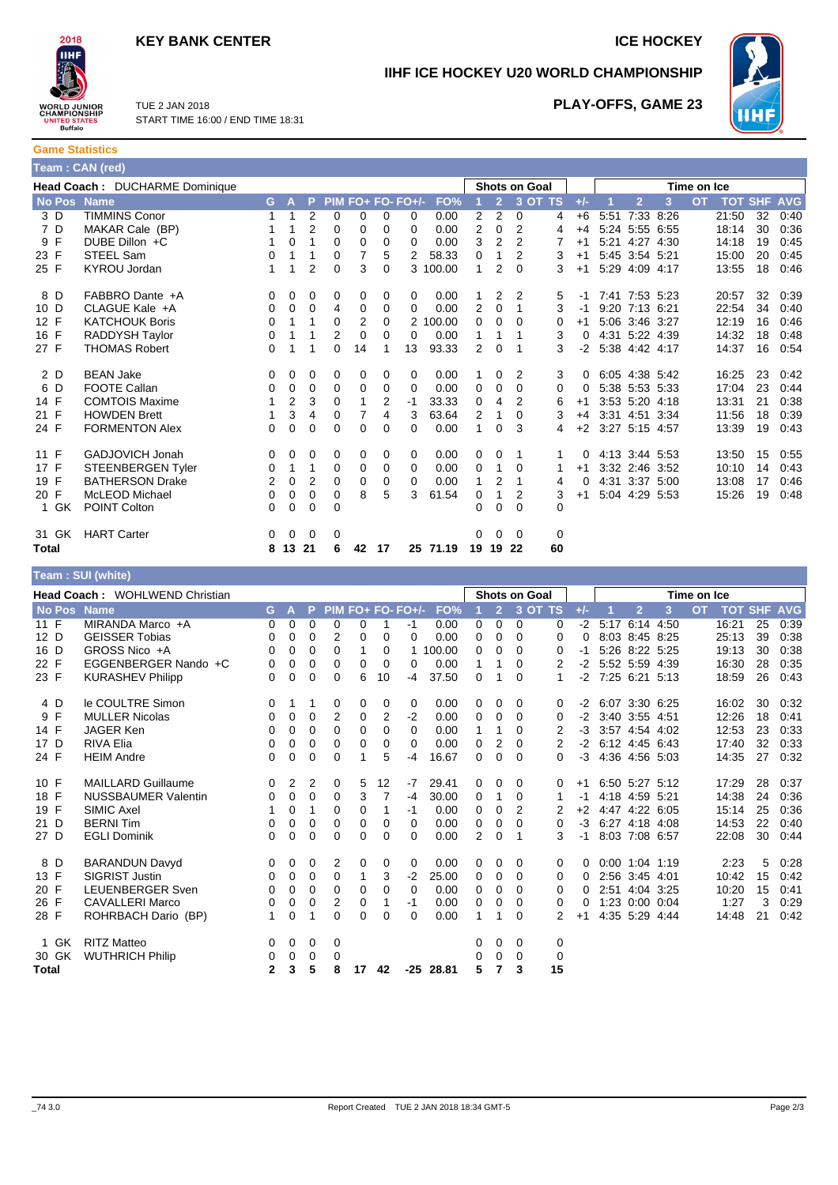## **KEY BANK CENTER ICE HOCKEY**



**IIHF ICE HOCKEY U20 WORLD CHAMPIONSHIP**



TUE 2 JAN 2018 START TIME 16:00 / END TIME 18:31

## **PLAY-OFFS, GAME 23**

**Game Statistics Team : CAN (red)**

|             | Head Coach: DUCHARME Dominique |    |             |                |                |                |          |                   |          |    |                | Shots on Goal |          |          |      |                   |   | Time on Ice |                    |    |      |
|-------------|--------------------------------|----|-------------|----------------|----------------|----------------|----------|-------------------|----------|----|----------------|---------------|----------|----------|------|-------------------|---|-------------|--------------------|----|------|
| No Pos Name |                                | G. | A           | P.             |                |                |          | PIM FO+ FO- FO+/- | FO%      |    | $\overline{2}$ |               | 3 OT TS  | $+/-$    |      | $\overline{2}$    | 3 | <b>OT</b>   | <b>TOT SHF AVG</b> |    |      |
| 3 D         | <b>TIMMINS Conor</b>           |    |             | $\overline{2}$ | 0              | 0              | 0        | 0                 | 0.00     | 2  | 2              | 0             | 4        | $+6$     | 5:51 | 7:33 8:26         |   |             | 21:50              | 32 | 0:40 |
| 7 D         | MAKAR Cale (BP)                |    |             | $\overline{2}$ | $\Omega$       | 0              | 0        | 0                 | 0.00     | 2  | $\Omega$       | 2             | 4        | $+4$     |      | 5:24 5:55 6:55    |   |             | 18:14              | 30 | 0:36 |
| 9 F         | DUBE Dillon +C                 |    | $\Omega$    | 1              | 0              | 0              | 0        | 0                 | 0.00     | 3  | 2              | 2             |          | $+1$     |      | 5:21 4:27 4:30    |   |             | 14:18              | 19 | 0:45 |
| 23 F        | STEEL Sam                      | 0  |             | 1              | 0              | $\overline{7}$ | 5        | 2                 | 58.33    | 0  | 1              | 2             | 3        | $+1$     |      | 5:45 3:54 5:21    |   |             | 15:00              | 20 | 0:45 |
| 25 F        | <b>KYROU Jordan</b>            |    |             | $\overline{2}$ | $\Omega$       | 3              | $\Omega$ |                   | 3 100.00 |    | 2              | $\Omega$      | 3        | $+1$     |      | 5:29 4:09 4:17    |   |             | 13:55              | 18 | 0:46 |
| 8 D         | FABBRO Dante +A                | 0  | 0           | 0              | 0              | 0              | 0        | 0                 | 0.00     |    | 2              | 2             | 5        | -1       |      | 7:41 7:53 5:23    |   |             | 20:57              | 32 | 0:39 |
| 10 D        | CLAGUE Kale +A                 | 0  | 0           | 0              | $\overline{4}$ | 0              | 0        | 0                 | 0.00     | 2  | 0              |               | 3        | -1       |      | 9:20 7:13 6:21    |   |             | 22:54              | 34 | 0:40 |
| 12 F        | <b>KATCHOUK Boris</b>          | 0  |             | 1              | 0              | 2              | 0        |                   | 2 100.00 | 0  | $\Omega$       | $\Omega$      | 0        | $+1$     |      | 5:06 3:46 3:27    |   |             | 12:19              | 16 | 0:46 |
| 16 F        | RADDYSH Taylor                 | 0  |             | 1              | $\overline{2}$ | $\mathbf 0$    | 0        | 0                 | 0.00     | 1  |                |               | 3        | 0        |      | 4:31 5:22 4:39    |   |             | 14:32              | 18 | 0:48 |
| 27 F        | <b>THOMAS Robert</b>           | 0  |             | 1              | $\Omega$       | 14             |          | 13                | 93.33    | 2  | 0              |               | 3        |          |      | -2 5:38 4:42 4:17 |   |             | 14:37              | 16 | 0:54 |
| 2 D         | <b>BEAN Jake</b>               | 0  | 0           | 0              | 0              | 0              | $\Omega$ | 0                 | 0.00     |    | 0              | 2             | 3        | $\Omega$ |      | 6:05 4:38 5:42    |   |             | 16:25              | 23 | 0:42 |
| 6 D         | <b>FOOTE Callan</b>            | 0  | 0           | 0              | 0              | 0              | $\Omega$ | 0                 | 0.00     | 0  | $\Omega$       | $\Omega$      | $\Omega$ | 0        |      | 5:38 5:53 5:33    |   |             | 17:04              | 23 | 0:44 |
| 14 F        | <b>COMTOIS Maxime</b>          |    | 2           | 3              | 0              |                | 2        | $-1$              | 33.33    | 0  | 4              | 2             | 6        | $+1$     |      | 3:53 5:20 4:18    |   |             | 13:31              | 21 | 0:38 |
| 21 F        | <b>HOWDEN Brett</b>            |    | 3           | 4              | 0              | 7              | 4        | 3                 | 63.64    | 2  | 1              | 0             | 3        | $+4$     |      | 3:31 4:51 3:34    |   |             | 11:56              | 18 | 0:39 |
| 24 F        | <b>FORMENTON Alex</b>          | 0  | $\Omega$    | $\Omega$       | $\Omega$       | $\Omega$       | 0        | 0                 | 0.00     |    | $\Omega$       | 3             | 4        | $+2$     |      | 3:27 5:15 4:57    |   |             | 13:39              | 19 | 0:43 |
| 11 F        | GADJOVICH Jonah                | 0  | 0           | 0              | 0              | 0              | 0        | 0                 | 0.00     | 0  | 0              |               | 1        |          |      | 4:13 3:44 5:53    |   |             | 13:50              | 15 | 0:55 |
| 17 F        | <b>STEENBERGEN Tyler</b>       | 0  |             | 1              | $\mathbf 0$    | 0              | 0        | 0                 | 0.00     | 0  |                | $\mathbf 0$   |          | $+1$     |      | 3:32 2:46 3:52    |   |             | 10:10              | 14 | 0:43 |
| 19 F        | <b>BATHERSON Drake</b>         | 2  | $\Omega$    | 2              | $\Omega$       | 0              | 0        | 0                 | 0.00     | 1  | 2              |               | 4        | 0        |      | 4:31 3:37 5:00    |   |             | 13:08              | 17 | 0:46 |
| 20 F        | McLEOD Michael                 | 0  | 0           | 0              | $\Omega$       | 8              | 5        | 3                 | 61.54    | 0  |                | 2             | 3        | $+1$     |      | 5:04 4:29 5:53    |   |             | 15:26              | 19 | 0:48 |
| 1 GK        | POINT Colton                   | 0  | $\mathbf 0$ | 0              | 0              |                |          |                   |          | 0  | $\Omega$       | $\mathbf 0$   | 0        |          |      |                   |   |             |                    |    |      |
| 31 GK       | <b>HART Carter</b>             | 0  | $\Omega$    | $\Omega$       | 0              |                |          |                   |          | 0  | $\Omega$       | $\Omega$      | 0        |          |      |                   |   |             |                    |    |      |
| Total       |                                | 8  | 13 21       |                | 6              | 42             | 17       |                   | 25 71.19 | 19 | 19             | 22            | 60       |          |      |                   |   |             |                    |    |      |

### **Team : SUI (white)**

|                   | <b>Head Coach: WOHLWEND Christian</b> |              |   |   |                |    |          | <b>Shots on Goal</b> |        |             |                | Time on Ice |             |       |      |                  |   |           |                |    |            |
|-------------------|---------------------------------------|--------------|---|---|----------------|----|----------|----------------------|--------|-------------|----------------|-------------|-------------|-------|------|------------------|---|-----------|----------------|----|------------|
| <b>No Pos</b>     | <b>Name</b>                           | G.           | A | P |                |    |          | PIM FO+ FO- FO+/-    | FO%    |             | $\overline{2}$ | 3 OT TS     |             | $+/-$ |      | $\overline{2}$   | 3 | <b>OT</b> | <b>TOT SHF</b> |    | <b>AVG</b> |
| 11 $\overline{F}$ | MIRANDA Marco +A                      | 0            | 0 | 0 | 0              | 0  |          | -1                   | 0.00   | 0           | $\mathbf 0$    | $\Omega$    | 0           | $-2$  |      | 5:17 6:14 4:50   |   |           | 16:21          | 25 | 0:39       |
| 12 D              | <b>GEISSER Tobias</b>                 | 0            | 0 | 0 | 2              | 0  | $\Omega$ | 0                    | 0.00   | 0           | 0              | 0           | 0           | 0     |      | 8:03 8:45 8:25   |   |           | 25:13          | 39 | 0:38       |
| 16 D              | GROSS Nico +A                         | 0            | 0 | 0 | 0              |    | 0        |                      | 100.00 | 0           | 0              | 0           | 0           | -1    |      | 5:26 8:22 5:25   |   |           | 19:13          | 30 | 0:38       |
| 22 F              | EGGENBERGER Nando +C                  | 0            | 0 | 0 | 0              | 0  | 0        | 0                    | 0.00   | 1           | 1              | 0           | 2           | $-2$  |      | 5:52 5:59 4:39   |   |           | 16:30          | 28 | 0:35       |
| 23 F              | <b>KURASHEV Philipp</b>               | 0            | 0 | 0 | 0              | 6  | 10       | -4                   | 37.50  | $\mathbf 0$ |                | 0           | 1           | $-2$  |      | 7:25 6:21 5:13   |   |           | 18:59          | 26 | 0:43       |
| 4 D               | le COULTRE Simon                      | 0            |   | 1 | 0              | 0  | 0        | 0                    | 0.00   | $\Omega$    | 0              | $\Omega$    | 0           | $-2$  |      | 6:07 3:30 6:25   |   |           | 16:02          | 30 | 0:32       |
| 9 F               | <b>MULLER Nicolas</b>                 | 0            | 0 | 0 | 2              | 0  | 2        | $-2$                 | 0.00   | 0           | 0              | 0           | 0           | $-2$  |      | 3:40 3:55 4:51   |   |           | 12:26          | 18 | 0:41       |
| 14 F              | <b>JAGER Ken</b>                      | 0            | 0 | 0 | 0              | 0  | $\Omega$ | $\Omega$             | 0.00   | 1           | 1              | 0           | 2           | $-3$  |      | 3:57 4:54 4:02   |   |           | 12:53          | 23 | 0:33       |
| 17 D              | <b>RIVA Elia</b>                      | 0            | 0 | 0 | 0              | 0  | $\Omega$ | 0                    | 0.00   | 0           | 2              | 0           | 2           | $-2$  |      | 6:12 4:45 6:43   |   |           | 17:40          | 32 | 0:33       |
| 24 F              | <b>HEIM Andre</b>                     | 0            | 0 | 0 | 0              |    | 5        | -4                   | 16.67  | 0           | 0              | 0           | 0           | $-3$  |      | 4:36 4:56 5:03   |   |           | 14:35          | 27 | 0:32       |
| 10 F              | <b>MAILLARD Guillaume</b>             | 0            | 2 | 2 | 0              | 5  | 12       | -7                   | 29.41  | 0           | 0              | 0           | 0           | $+1$  |      | 6:50 5:27 5:12   |   |           | 17:29          | 28 | 0:37       |
| 18 F              | <b>NUSSBAUMER Valentin</b>            | 0            | 0 | 0 | 0              | 3  | 7        | $-4$                 | 30.00  | 0           | 1              | 0           | 1           | -1    |      | 4:18 4:59 5:21   |   |           | 14:38          | 24 | 0:36       |
| 19 F              | <b>SIMIC Axel</b>                     |              | 0 | 1 | $\Omega$       | 0  | 1        | -1                   | 0.00   | $\Omega$    | 0              | 2           |             | $+2$  |      | 4:47 4:22 6:05   |   |           | 15:14          | 25 | 0:36       |
| 21 D              | <b>BERNITim</b>                       | 0            | 0 | 0 | 0              | 0  | 0        | 0                    | 0.00   | 0           | 0              | 0           | 0           | $-3$  |      | 6:27 4:18 4:08   |   |           | 14:53          | 22 | 0:40       |
| 27 D              | <b>EGLI Dominik</b>                   | $\Omega$     | 0 | 0 | $\Omega$       | 0  | $\Omega$ | 0                    | 0.00   | 2           | $\mathbf 0$    |             | 3           | -1    |      | 8:03 7:08 6:57   |   |           | 22:08          | 30 | 0:44       |
| 8 D               | <b>BARANDUN Davyd</b>                 | 0            | 0 | 0 | 2              | 0  | 0        | 0                    | 0.00   | 0           | 0              | 0           | 0           | 0     |      | $0:00$ 1:04 1:19 |   |           | 2:23           | 5  | 0:28       |
| 13 F              | <b>SIGRIST Justin</b>                 | 0            | 0 | 0 | 0              | 1  | 3        | $-2$                 | 25.00  | 0           | 0              | 0           | 0           | 0     | 2:56 | 3:45 4:01        |   |           | 10:42          | 15 | 0:42       |
| 20 F              | <b>LEUENBERGER Sven</b>               | 0            | 0 | 0 | 0              | 0  | $\Omega$ | $\Omega$             | 0.00   | $\Omega$    | 0              | 0           | 0           | 0     |      | 2:51 4:04 3:25   |   |           | 10:20          | 15 | 0:41       |
| 26 F              | <b>CAVALLERI Marco</b>                | 0            | 0 | 0 | $\overline{2}$ | 0  |          | -1                   | 0.00   | 0           | 0              | 0           | 0           | 0     |      | $1:23$ 0:00 0:04 |   |           | 1:27           | 3  | 0:29       |
| 28 F              | ROHRBACH Dario (BP)                   | 1            | 0 | 1 | 0              | 0  | $\Omega$ | $\Omega$             | 0.00   | 1           | 1              | 0           | 2           | $+1$  |      | 4:35 5:29 4:44   |   |           | 14:48          | 21 | 0:42       |
| 1 GK              | <b>RITZ Matteo</b>                    | 0            | 0 | 0 | 0              |    |          |                      |        | 0           | 0              | 0           | 0           |       |      |                  |   |           |                |    |            |
| 30 GK             | <b>WUTHRICH Philip</b>                | 0            | 0 | 0 | 0              |    |          |                      |        | 0           | 0              | $\Omega$    | $\mathbf 0$ |       |      |                  |   |           |                |    |            |
| <b>Total</b>      |                                       | $\mathbf{2}$ | 3 | 5 | 8              | 17 | 42       | -25                  | 28.81  | 5           | 7              | 3           | 15          |       |      |                  |   |           |                |    |            |